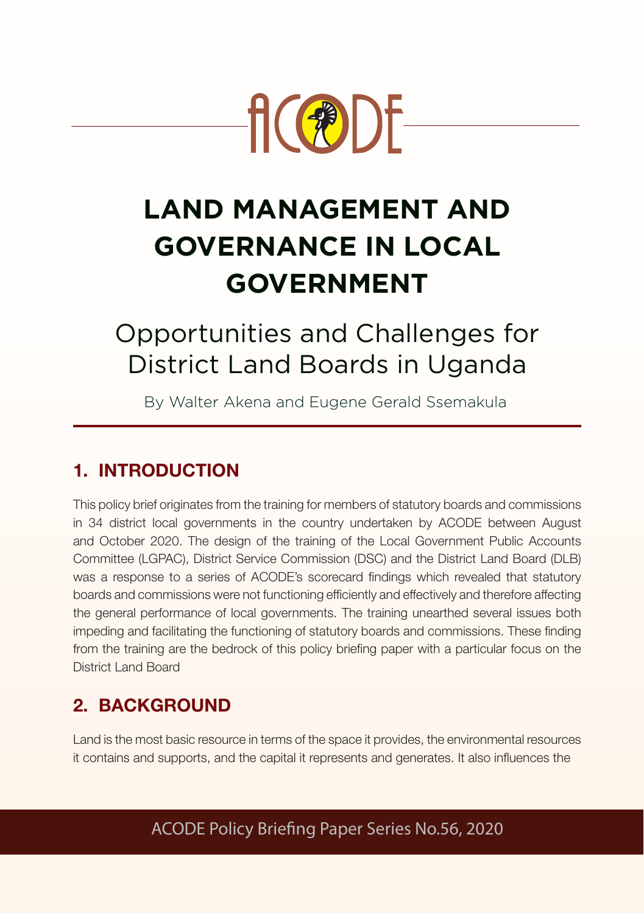

# **LAND MANAGEMENT AND GOVERNANCE IN LOCAL GOVERNMENT**

# Opportunities and Challenges for District Land Boards in Uganda

By Walter Akena and Eugene Gerald Ssemakula

# 1. INTRODUCTION

This policy brief originates from the training for members of statutory boards and commissions in 34 district local governments in the country undertaken by ACODE between August and October 2020. The design of the training of the Local Government Public Accounts Committee (LGPAC), District Service Commission (DSC) and the District Land Board (DLB) was a response to a series of ACODE's scorecard findings which revealed that statutory boards and commissions were not functioning efficiently and effectively and therefore affecting the general performance of local governments. The training unearthed several issues both impeding and facilitating the functioning of statutory boards and commissions. These finding from the training are the bedrock of this policy briefing paper with a particular focus on the District Land Board

# 2. BACKGROUND

Land is the most basic resource in terms of the space it provides, the environmental resources it contains and supports, and the capital it represents and generates. It also influences the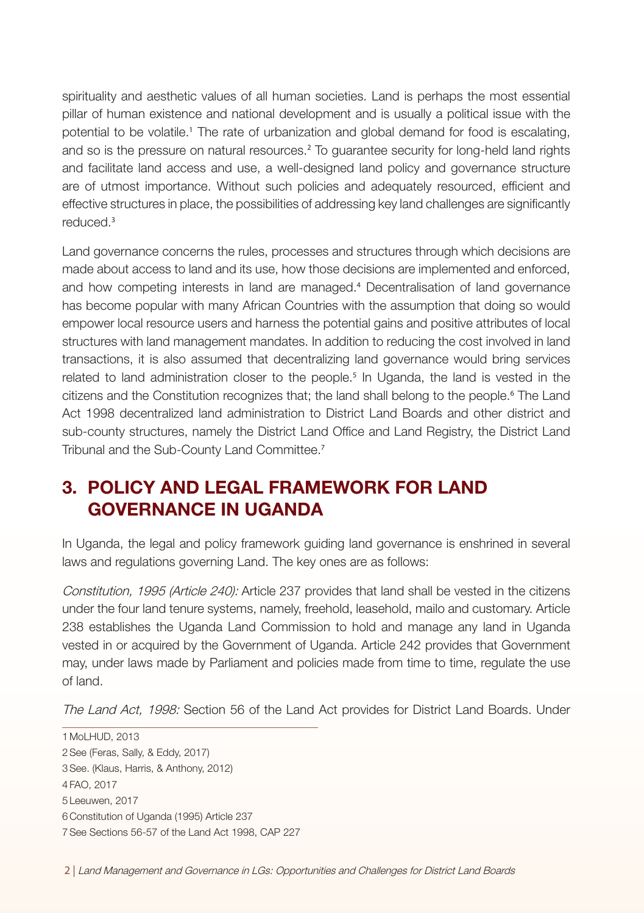spirituality and aesthetic values of all human societies. Land is perhaps the most essential pillar of human existence and national development and is usually a political issue with the potential to be volatile.<sup>1</sup> The rate of urbanization and global demand for food is escalating, and so is the pressure on natural resources.<sup>2</sup> To guarantee security for long-held land rights and facilitate land access and use, a well-designed land policy and governance structure are of utmost importance. Without such policies and adequately resourced, efficient and effective structures in place, the possibilities of addressing key land challenges are significantly reduced.<sup>3</sup>

Land governance concerns the rules, processes and structures through which decisions are made about access to land and its use, how those decisions are implemented and enforced, and how competing interests in land are managed.<sup>4</sup> Decentralisation of land governance has become popular with many African Countries with the assumption that doing so would empower local resource users and harness the potential gains and positive attributes of local structures with land management mandates. In addition to reducing the cost involved in land transactions, it is also assumed that decentralizing land governance would bring services related to land administration closer to the people.<sup>5</sup> In Uganda, the land is vested in the citizens and the Constitution recognizes that; the land shall belong to the people.<sup>6</sup> The Land Act 1998 decentralized land administration to District Land Boards and other district and sub-county structures, namely the District Land Office and Land Registry, the District Land Tribunal and the Sub-County Land Committee.<sup>7</sup>

## 3. POLICY AND LEGAL FRAMEWORK FOR LAND GOVERNANCE IN UGANDA

In Uganda, the legal and policy framework guiding land governance is enshrined in several laws and regulations governing Land. The key ones are as follows:

Constitution, 1995 (Article 240): Article 237 provides that land shall be vested in the citizens under the four land tenure systems, namely, freehold, leasehold, mailo and customary. Article 238 establishes the Uganda Land Commission to hold and manage any land in Uganda vested in or acquired by the Government of Uganda. Article 242 provides that Government may, under laws made by Parliament and policies made from time to time, regulate the use of land.

The Land Act, 1998: Section 56 of the Land Act provides for District Land Boards. Under

1 MoLHUD, 2013 2See (Feras, Sally, & Eddy, 2017) 3See. (Klaus, Harris, & Anthony, 2012) 4 FAO, 2017 5 Leeuwen, 2017 6 Constitution of Uganda (1995) Article 237 7See Sections 56-57 of the Land Act 1998, CAP 227

2 | Land Management and Governance in LGs: Opportunities and Challenges for District Land Boards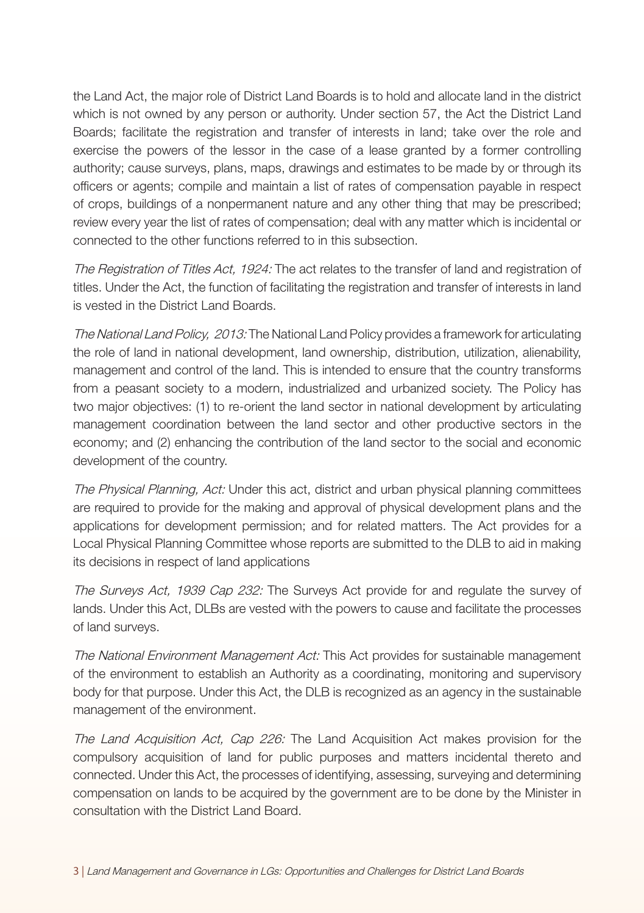the Land Act, the major role of District Land Boards is to hold and allocate land in the district which is not owned by any person or authority. Under section 57, the Act the District Land Boards; facilitate the registration and transfer of interests in land; take over the role and exercise the powers of the lessor in the case of a lease granted by a former controlling authority; cause surveys, plans, maps, drawings and estimates to be made by or through its officers or agents; compile and maintain a list of rates of compensation payable in respect of crops, buildings of a nonpermanent nature and any other thing that may be prescribed; review every year the list of rates of compensation; deal with any matter which is incidental or connected to the other functions referred to in this subsection.

The Registration of Titles Act, 1924: The act relates to the transfer of land and registration of titles. Under the Act, the function of facilitating the registration and transfer of interests in land is vested in the District Land Boards.

The National Land Policy, 2013: The National Land Policy provides a framework for articulating the role of land in national development, land ownership, distribution, utilization, alienability, management and control of the land. This is intended to ensure that the country transforms from a peasant society to a modern, industrialized and urbanized society. The Policy has two major objectives: (1) to re-orient the land sector in national development by articulating management coordination between the land sector and other productive sectors in the economy; and (2) enhancing the contribution of the land sector to the social and economic development of the country.

The Physical Planning, Act: Under this act, district and urban physical planning committees are required to provide for the making and approval of physical development plans and the applications for development permission; and for related matters. The Act provides for a Local Physical Planning Committee whose reports are submitted to the DLB to aid in making its decisions in respect of land applications

The Surveys Act, 1939 Cap 232: The Surveys Act provide for and regulate the survey of lands. Under this Act, DLBs are vested with the powers to cause and facilitate the processes of land surveys.

The National Environment Management Act: This Act provides for sustainable management of the environment to establish an Authority as a coordinating, monitoring and supervisory body for that purpose. Under this Act, the DLB is recognized as an agency in the sustainable management of the environment.

The Land Acquisition Act, Cap 226: The Land Acquisition Act makes provision for the compulsory acquisition of land for public purposes and matters incidental thereto and connected. Under this Act, the processes of identifying, assessing, surveying and determining compensation on lands to be acquired by the government are to be done by the Minister in consultation with the District Land Board.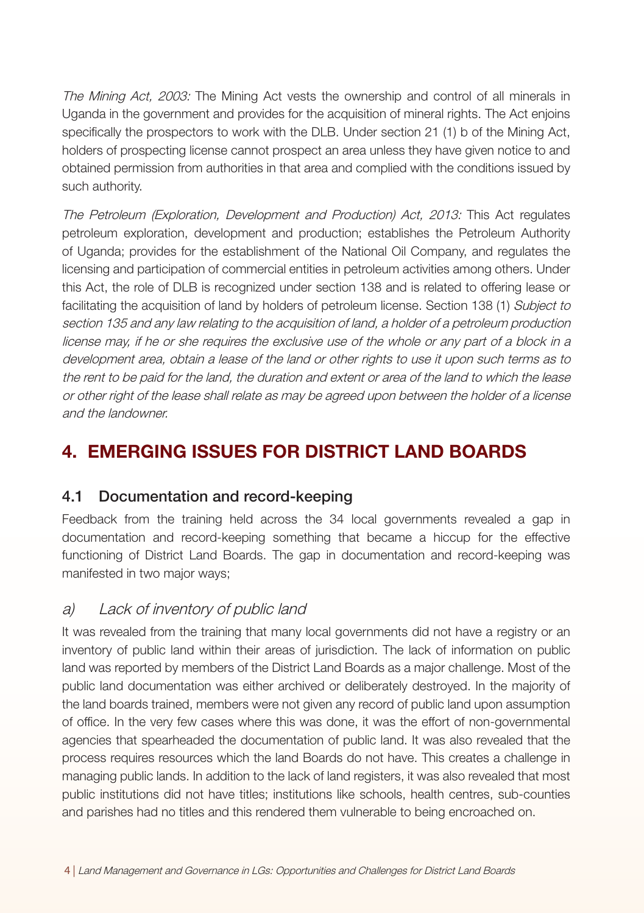The Mining Act, 2003: The Mining Act vests the ownership and control of all minerals in Uganda in the government and provides for the acquisition of mineral rights. The Act enjoins specifically the prospectors to work with the DLB. Under section 21 (1) b of the Mining Act, holders of prospecting license cannot prospect an area unless they have given notice to and obtained permission from authorities in that area and complied with the conditions issued by such authority.

The Petroleum (Exploration, Development and Production) Act, 2013: This Act regulates petroleum exploration, development and production; establishes the Petroleum Authority of Uganda; provides for the establishment of the National Oil Company, and regulates the licensing and participation of commercial entities in petroleum activities among others. Under this Act, the role of DLB is recognized under section 138 and is related to offering lease or facilitating the acquisition of land by holders of petroleum license. Section 138 (1) Subject to section 135 and any law relating to the acquisition of land, a holder of a petroleum production license may, if he or she requires the exclusive use of the whole or any part of a block in a development area, obtain a lease of the land or other rights to use it upon such terms as to the rent to be paid for the land, the duration and extent or area of the land to which the lease or other right of the lease shall relate as may be agreed upon between the holder of a license and the landowner.

## 4. EMERGING ISSUES FOR DISTRICT LAND BOARDS

#### 4.1 Documentation and record-keeping

Feedback from the training held across the 34 local governments revealed a gap in documentation and record-keeping something that became a hiccup for the effective functioning of District Land Boards. The gap in documentation and record-keeping was manifested in two major ways;

#### a) Lack of inventory of public land

It was revealed from the training that many local governments did not have a registry or an inventory of public land within their areas of jurisdiction. The lack of information on public land was reported by members of the District Land Boards as a major challenge. Most of the public land documentation was either archived or deliberately destroyed. In the majority of the land boards trained, members were not given any record of public land upon assumption of office. In the very few cases where this was done, it was the effort of non-governmental agencies that spearheaded the documentation of public land. It was also revealed that the process requires resources which the land Boards do not have. This creates a challenge in managing public lands. In addition to the lack of land registers, it was also revealed that most public institutions did not have titles; institutions like schools, health centres, sub-counties and parishes had no titles and this rendered them vulnerable to being encroached on.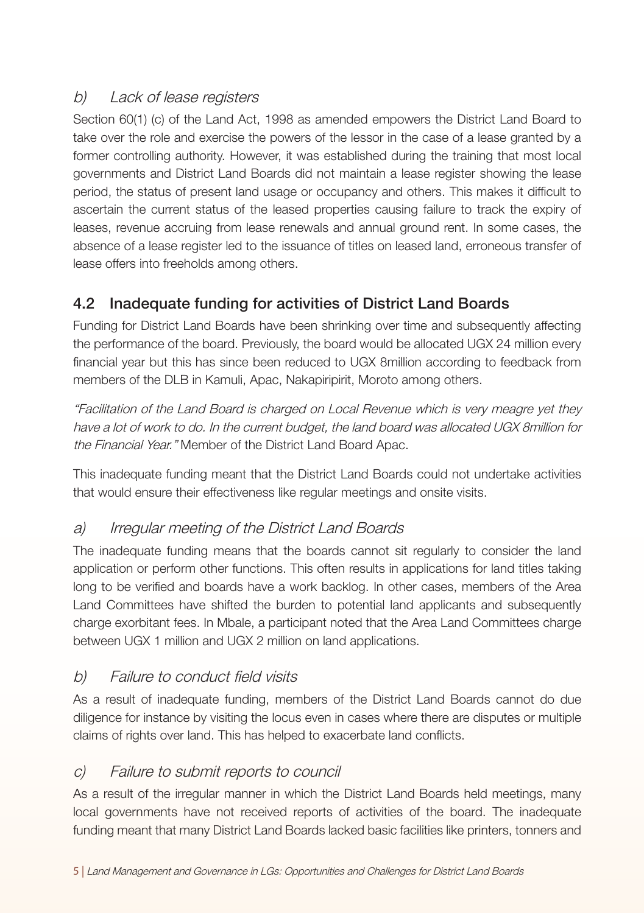### b) Lack of lease registers

Section 60(1) (c) of the Land Act, 1998 as amended empowers the District Land Board to take over the role and exercise the powers of the lessor in the case of a lease granted by a former controlling authority. However, it was established during the training that most local governments and District Land Boards did not maintain a lease register showing the lease period, the status of present land usage or occupancy and others. This makes it difficult to ascertain the current status of the leased properties causing failure to track the expiry of leases, revenue accruing from lease renewals and annual ground rent. In some cases, the absence of a lease register led to the issuance of titles on leased land, erroneous transfer of lease offers into freeholds among others.

## 4.2 Inadequate funding for activities of District Land Boards

Funding for District Land Boards have been shrinking over time and subsequently affecting the performance of the board. Previously, the board would be allocated UGX 24 million every financial year but this has since been reduced to UGX 8million according to feedback from members of the DLB in Kamuli, Apac, Nakapiripirit, Moroto among others.

"Facilitation of the Land Board is charged on Local Revenue which is very meagre yet they have a lot of work to do. In the current budget, the land board was allocated UGX 8million for the Financial Year." Member of the District Land Board Apac.

This inadequate funding meant that the District Land Boards could not undertake activities that would ensure their effectiveness like regular meetings and onsite visits.

## a) Irregular meeting of the District Land Boards

The inadequate funding means that the boards cannot sit regularly to consider the land application or perform other functions. This often results in applications for land titles taking long to be verified and boards have a work backlog. In other cases, members of the Area Land Committees have shifted the burden to potential land applicants and subsequently charge exorbitant fees. In Mbale, a participant noted that the Area Land Committees charge between UGX 1 million and UGX 2 million on land applications.

## b) Failure to conduct field visits

As a result of inadequate funding, members of the District Land Boards cannot do due diligence for instance by visiting the locus even in cases where there are disputes or multiple claims of rights over land. This has helped to exacerbate land conflicts.

## c) Failure to submit reports to council

As a result of the irregular manner in which the District Land Boards held meetings, many local governments have not received reports of activities of the board. The inadequate funding meant that many District Land Boards lacked basic facilities like printers, tonners and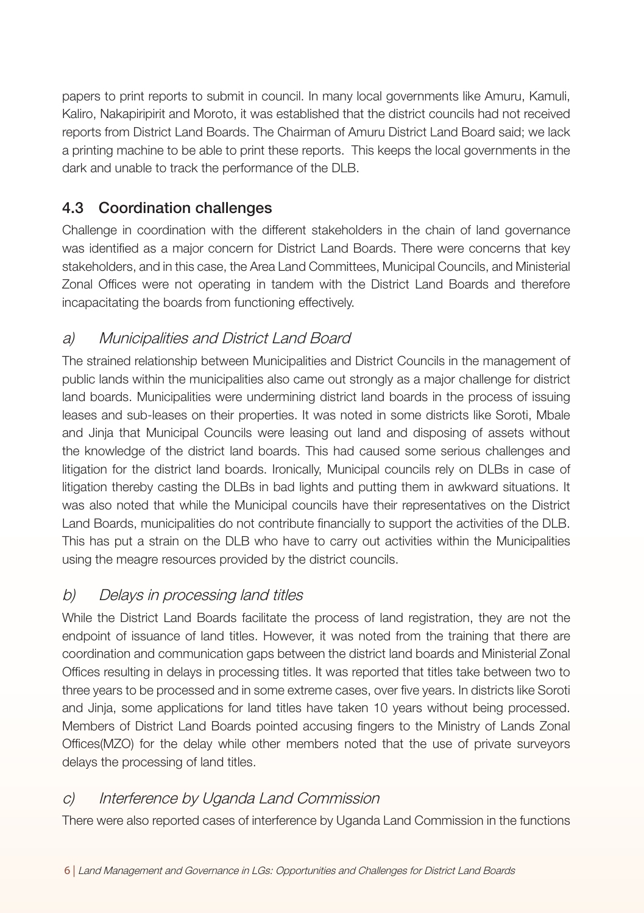papers to print reports to submit in council. In many local governments like Amuru, Kamuli, Kaliro, Nakapiripirit and Moroto, it was established that the district councils had not received reports from District Land Boards. The Chairman of Amuru District Land Board said; we lack a printing machine to be able to print these reports. This keeps the local governments in the dark and unable to track the performance of the DLB.

### 4.3 Coordination challenges

Challenge in coordination with the different stakeholders in the chain of land governance was identified as a major concern for District Land Boards. There were concerns that key stakeholders, and in this case, the Area Land Committees, Municipal Councils, and Ministerial Zonal Offices were not operating in tandem with the District Land Boards and therefore incapacitating the boards from functioning effectively.

## a) Municipalities and District Land Board

The strained relationship between Municipalities and District Councils in the management of public lands within the municipalities also came out strongly as a major challenge for district land boards. Municipalities were undermining district land boards in the process of issuing leases and sub-leases on their properties. It was noted in some districts like Soroti, Mbale and Jinja that Municipal Councils were leasing out land and disposing of assets without the knowledge of the district land boards. This had caused some serious challenges and litigation for the district land boards. Ironically, Municipal councils rely on DLBs in case of litigation thereby casting the DLBs in bad lights and putting them in awkward situations. It was also noted that while the Municipal councils have their representatives on the District Land Boards, municipalities do not contribute financially to support the activities of the DLB. This has put a strain on the DLB who have to carry out activities within the Municipalities using the meagre resources provided by the district councils.

#### b) Delays in processing land titles

While the District Land Boards facilitate the process of land registration, they are not the endpoint of issuance of land titles. However, it was noted from the training that there are coordination and communication gaps between the district land boards and Ministerial Zonal Offices resulting in delays in processing titles. It was reported that titles take between two to three years to be processed and in some extreme cases, over five years. In districts like Soroti and Jinja, some applications for land titles have taken 10 years without being processed. Members of District Land Boards pointed accusing fingers to the Ministry of Lands Zonal Offices(MZO) for the delay while other members noted that the use of private surveyors delays the processing of land titles.

#### c) Interference by Uganda Land Commission

There were also reported cases of interference by Uganda Land Commission in the functions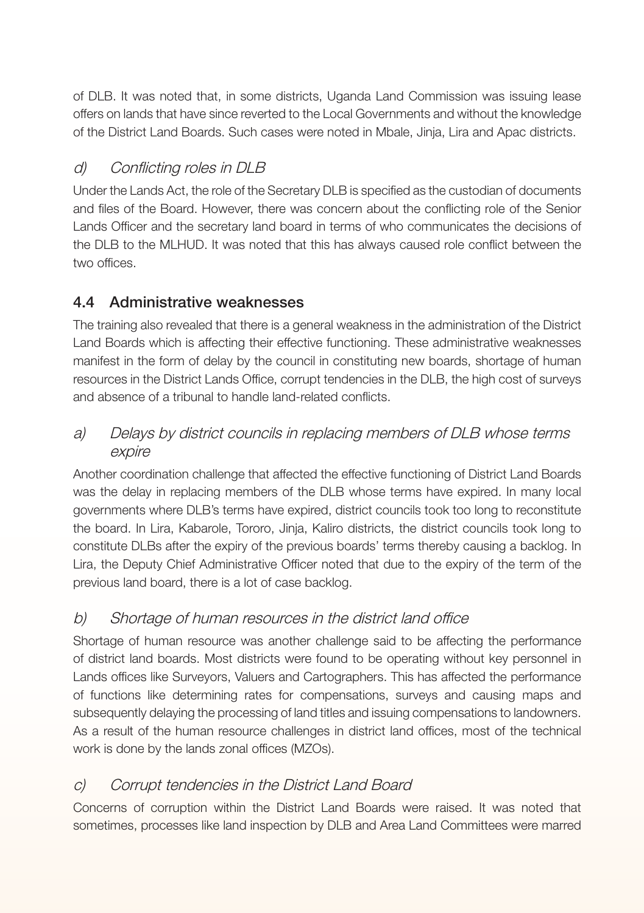of DLB. It was noted that, in some districts, Uganda Land Commission was issuing lease offers on lands that have since reverted to the Local Governments and without the knowledge of the District Land Boards. Such cases were noted in Mbale, Jinja, Lira and Apac districts.

## d) Conflicting roles in DLB

Under the Lands Act, the role of the Secretary DLB is specified as the custodian of documents and files of the Board. However, there was concern about the conflicting role of the Senior Lands Officer and the secretary land board in terms of who communicates the decisions of the DLB to the MLHUD. It was noted that this has always caused role conflict between the two offices.

## 4.4 Administrative weaknesses

The training also revealed that there is a general weakness in the administration of the District Land Boards which is affecting their effective functioning. These administrative weaknesses manifest in the form of delay by the council in constituting new boards, shortage of human resources in the District Lands Office, corrupt tendencies in the DLB, the high cost of surveys and absence of a tribunal to handle land-related conflicts.

#### a) Delays by district councils in replacing members of DLB whose terms expire

Another coordination challenge that affected the effective functioning of District Land Boards was the delay in replacing members of the DLB whose terms have expired. In many local governments where DLB's terms have expired, district councils took too long to reconstitute the board. In Lira, Kabarole, Tororo, Jinja, Kaliro districts, the district councils took long to constitute DLBs after the expiry of the previous boards' terms thereby causing a backlog. In Lira, the Deputy Chief Administrative Officer noted that due to the expiry of the term of the previous land board, there is a lot of case backlog.

## b) Shortage of human resources in the district land office

Shortage of human resource was another challenge said to be affecting the performance of district land boards. Most districts were found to be operating without key personnel in Lands offices like Surveyors, Valuers and Cartographers. This has affected the performance of functions like determining rates for compensations, surveys and causing maps and subsequently delaying the processing of land titles and issuing compensations to landowners. As a result of the human resource challenges in district land offices, most of the technical work is done by the lands zonal offices (MZOs).

## c) Corrupt tendencies in the District Land Board

Concerns of corruption within the District Land Boards were raised. It was noted that sometimes, processes like land inspection by DLB and Area Land Committees were marred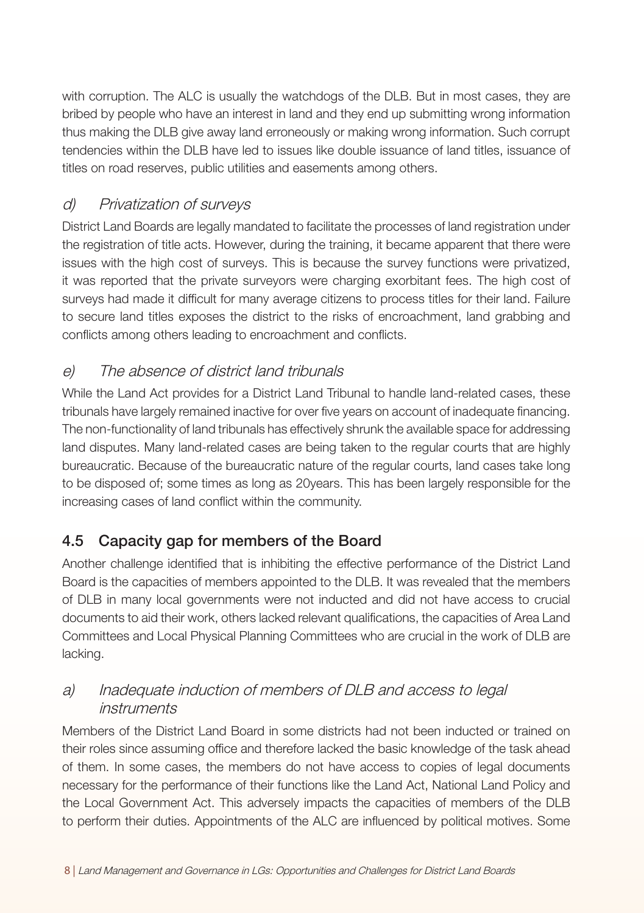with corruption. The ALC is usually the watchdogs of the DLB. But in most cases, they are bribed by people who have an interest in land and they end up submitting wrong information thus making the DLB give away land erroneously or making wrong information. Such corrupt tendencies within the DLB have led to issues like double issuance of land titles, issuance of titles on road reserves, public utilities and easements among others.

#### d) Privatization of surveys

District Land Boards are legally mandated to facilitate the processes of land registration under the registration of title acts. However, during the training, it became apparent that there were issues with the high cost of surveys. This is because the survey functions were privatized, it was reported that the private surveyors were charging exorbitant fees. The high cost of surveys had made it difficult for many average citizens to process titles for their land. Failure to secure land titles exposes the district to the risks of encroachment, land grabbing and conflicts among others leading to encroachment and conflicts.

#### e) The absence of district land tribunals

While the Land Act provides for a District Land Tribunal to handle land-related cases, these tribunals have largely remained inactive for over five years on account of inadequate financing. The non-functionality of land tribunals has effectively shrunk the available space for addressing land disputes. Many land-related cases are being taken to the regular courts that are highly bureaucratic. Because of the bureaucratic nature of the regular courts, land cases take long to be disposed of; some times as long as 20years. This has been largely responsible for the increasing cases of land conflict within the community.

## 4.5 Capacity gap for members of the Board

Another challenge identified that is inhibiting the effective performance of the District Land Board is the capacities of members appointed to the DLB. It was revealed that the members of DLB in many local governments were not inducted and did not have access to crucial documents to aid their work, others lacked relevant qualifications, the capacities of Area Land Committees and Local Physical Planning Committees who are crucial in the work of DLB are lacking.

#### a) Inadequate induction of members of DLB and access to legal instruments

Members of the District Land Board in some districts had not been inducted or trained on their roles since assuming office and therefore lacked the basic knowledge of the task ahead of them. In some cases, the members do not have access to copies of legal documents necessary for the performance of their functions like the Land Act, National Land Policy and the Local Government Act. This adversely impacts the capacities of members of the DLB to perform their duties. Appointments of the ALC are influenced by political motives. Some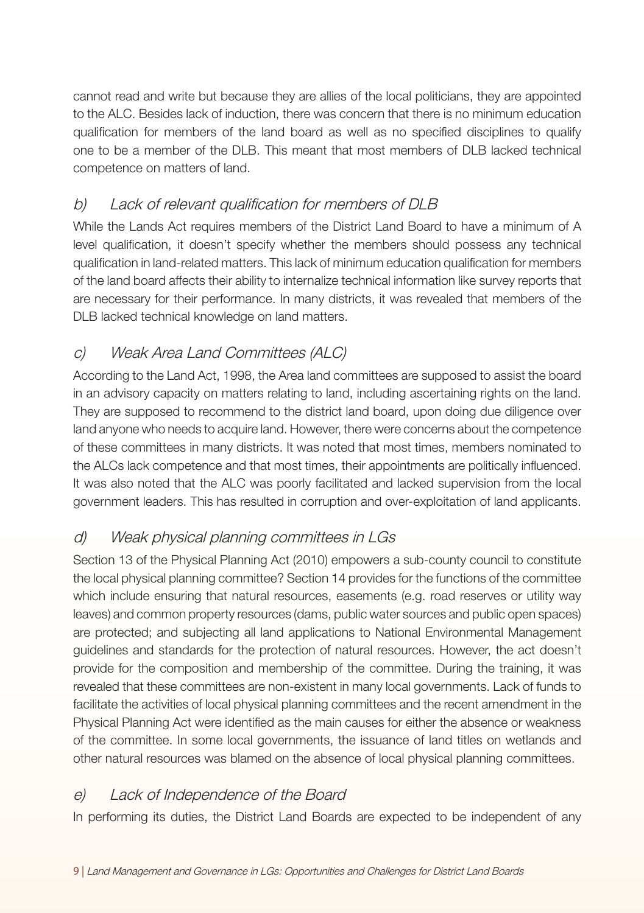cannot read and write but because they are allies of the local politicians, they are appointed to the ALC. Besides lack of induction, there was concern that there is no minimum education qualification for members of the land board as well as no specified disciplines to qualify one to be a member of the DLB. This meant that most members of DLB lacked technical competence on matters of land.

#### b) Lack of relevant qualification for members of DLB

While the Lands Act requires members of the District Land Board to have a minimum of A level qualification, it doesn't specify whether the members should possess any technical qualification in land-related matters. This lack of minimum education qualification for members of the land board affects their ability to internalize technical information like survey reports that are necessary for their performance. In many districts, it was revealed that members of the DLB lacked technical knowledge on land matters.

## c) Weak Area Land Committees (ALC)

According to the Land Act, 1998, the Area land committees are supposed to assist the board in an advisory capacity on matters relating to land, including ascertaining rights on the land. They are supposed to recommend to the district land board, upon doing due diligence over land anyone who needs to acquire land. However, there were concerns about the competence of these committees in many districts. It was noted that most times, members nominated to the ALCs lack competence and that most times, their appointments are politically influenced. It was also noted that the ALC was poorly facilitated and lacked supervision from the local government leaders. This has resulted in corruption and over-exploitation of land applicants.

## d) Weak physical planning committees in LGs

Section 13 of the Physical Planning Act (2010) empowers a sub-county council to constitute the local physical planning committee? Section 14 provides for the functions of the committee which include ensuring that natural resources, easements (e.g. road reserves or utility way leaves) and common property resources (dams, public water sources and public open spaces) are protected; and subjecting all land applications to National Environmental Management guidelines and standards for the protection of natural resources. However, the act doesn't provide for the composition and membership of the committee. During the training, it was revealed that these committees are non-existent in many local governments. Lack of funds to facilitate the activities of local physical planning committees and the recent amendment in the Physical Planning Act were identified as the main causes for either the absence or weakness of the committee. In some local governments, the issuance of land titles on wetlands and other natural resources was blamed on the absence of local physical planning committees.

#### e) Lack of Independence of the Board

In performing its duties, the District Land Boards are expected to be independent of any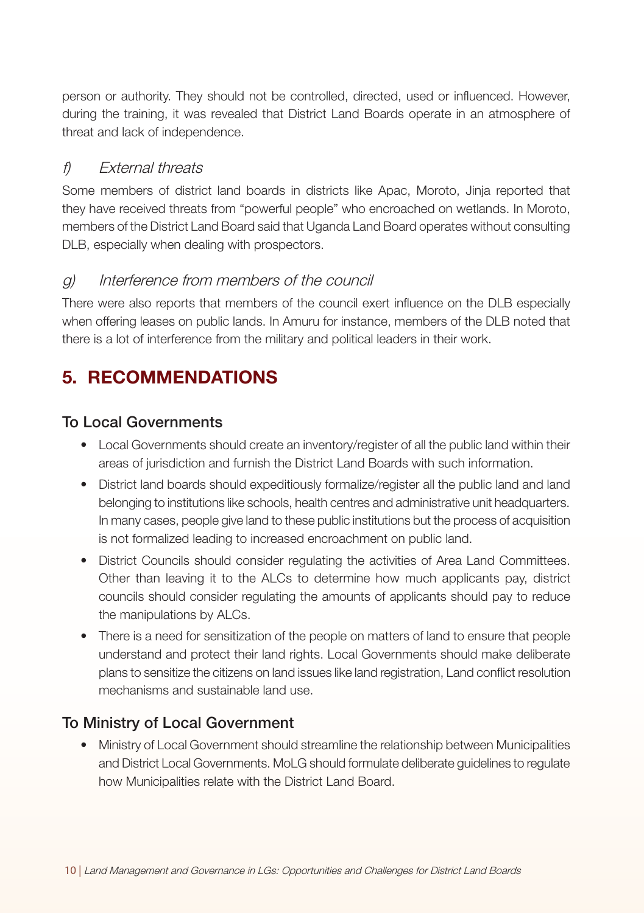person or authority. They should not be controlled, directed, used or influenced. However, during the training, it was revealed that District Land Boards operate in an atmosphere of threat and lack of independence.

#### f) Fxternal threats

Some members of district land boards in districts like Apac, Moroto, Jinja reported that they have received threats from "powerful people" who encroached on wetlands. In Moroto, members of the District Land Board said that Uganda Land Board operates without consulting DLB, especially when dealing with prospectors.

#### g) Interference from members of the council

There were also reports that members of the council exert influence on the DLB especially when offering leases on public lands. In Amuru for instance, members of the DLB noted that there is a lot of interference from the military and political leaders in their work.

# 5. RECOMMENDATIONS

#### To Local Governments

- Local Governments should create an inventory/register of all the public land within their areas of jurisdiction and furnish the District Land Boards with such information.
- District land boards should expeditiously formalize/register all the public land and land belonging to institutions like schools, health centres and administrative unit headquarters. In many cases, people give land to these public institutions but the process of acquisition is not formalized leading to increased encroachment on public land.
- District Councils should consider regulating the activities of Area Land Committees. Other than leaving it to the ALCs to determine how much applicants pay, district councils should consider regulating the amounts of applicants should pay to reduce the manipulations by ALCs.
- There is a need for sensitization of the people on matters of land to ensure that people understand and protect their land rights. Local Governments should make deliberate plans to sensitize the citizens on land issues like land registration, Land conflict resolution mechanisms and sustainable land use.

## To Ministry of Local Government

• Ministry of Local Government should streamline the relationship between Municipalities and District Local Governments. MoLG should formulate deliberate guidelines to regulate how Municipalities relate with the District Land Board.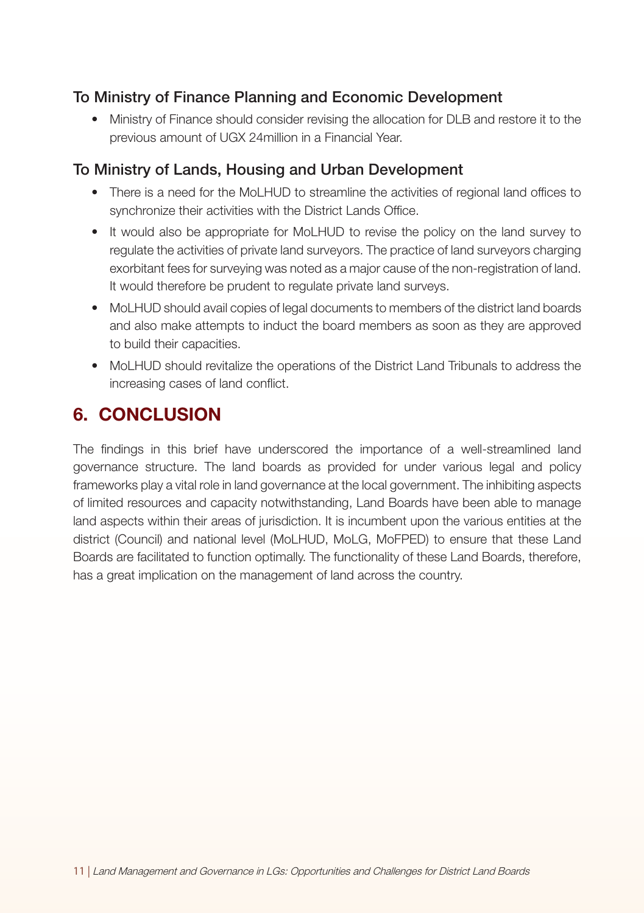#### To Ministry of Finance Planning and Economic Development

• Ministry of Finance should consider revising the allocation for DLB and restore it to the previous amount of UGX 24million in a Financial Year.

#### To Ministry of Lands, Housing and Urban Development

- There is a need for the MoLHUD to streamline the activities of regional land offices to synchronize their activities with the District Lands Office.
- It would also be appropriate for MoLHUD to revise the policy on the land survey to regulate the activities of private land surveyors. The practice of land surveyors charging exorbitant fees for surveying was noted as a major cause of the non-registration of land. It would therefore be prudent to regulate private land surveys.
- MoLHUD should avail copies of legal documents to members of the district land boards and also make attempts to induct the board members as soon as they are approved to build their capacities.
- MoLHUD should revitalize the operations of the District Land Tribunals to address the increasing cases of land conflict.

# 6. CONCLUSION

The findings in this brief have underscored the importance of a well-streamlined land governance structure. The land boards as provided for under various legal and policy frameworks play a vital role in land governance at the local government. The inhibiting aspects of limited resources and capacity notwithstanding, Land Boards have been able to manage land aspects within their areas of jurisdiction. It is incumbent upon the various entities at the district (Council) and national level (MoLHUD, MoLG, MoFPED) to ensure that these Land Boards are facilitated to function optimally. The functionality of these Land Boards, therefore, has a great implication on the management of land across the country.